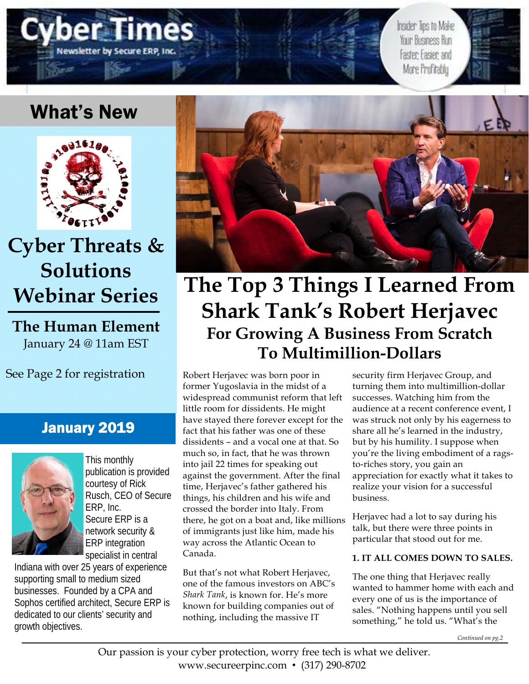

Insider Tips to Make Your Business Run Faster; Easier; and More Profitably

# What's New



# **Cyber Threats & Solutions Webinar Series**

**The Human Element**  January 24 @ 11am EST

See Page 2 for registration

### January 2019



This monthly publication is provided courtesy of Rick Rusch, CEO of Secure ERP, Inc. Secure ERP is a network security & ERP integration specialist in central

Indiana with over 25 years of experience supporting small to medium sized businesses. Founded by a CPA and Sophos certified architect, Secure ERP is dedicated to our clients' security and growth objectives.



# **The Top 3 Things I Learned From Shark Tank's Robert Herjavec For Growing A Business From Scratch To Multimillion-Dollars**

Robert Herjavec was born poor in former Yugoslavia in the midst of a widespread communist reform that left little room for dissidents. He might have stayed there forever except for the fact that his father was one of these dissidents – and a vocal one at that. So much so, in fact, that he was thrown into jail 22 times for speaking out against the government. After the final time, Herjavec's father gathered his things, his children and his wife and crossed the border into Italy. From there, he got on a boat and, like millions of immigrants just like him, made his way across the Atlantic Ocean to Canada.

But that's not what Robert Herjavec, one of the famous investors on ABC's *Shark Tank*, is known for. He's more known for building companies out of nothing, including the massive IT

security firm Herjavec Group, and turning them into multimillion-dollar successes. Watching him from the audience at a recent conference event, I was struck not only by his eagerness to share all he's learned in the industry, but by his humility. I suppose when you're the living embodiment of a ragsto-riches story, you gain an appreciation for exactly what it takes to realize your vision for a successful business.

Herjavec had a lot to say during his talk, but there were three points in particular that stood out for me.

### **1. IT ALL COMES DOWN TO SALES.**

The one thing that Herjavec really wanted to hammer home with each and every one of us is the importance of sales. "Nothing happens until you sell something," he told us. "What's the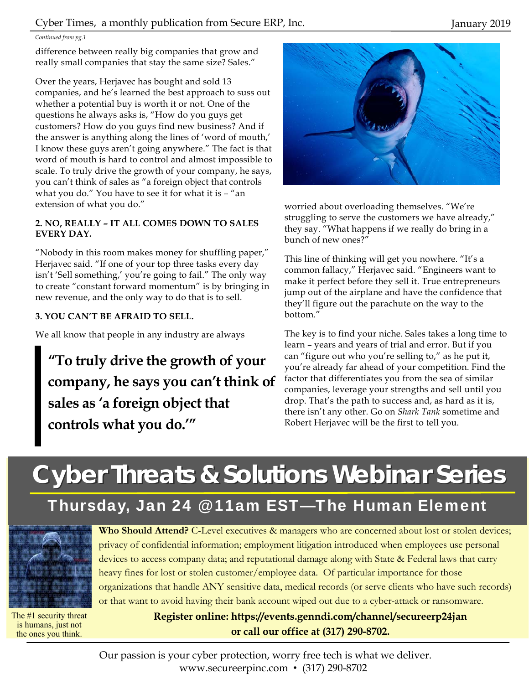#### *Continued from pg.1*

difference between really big companies that grow and really small companies that stay the same size? Sales."

Over the years, Herjavec has bought and sold 13 companies, and he's learned the best approach to suss out whether a potential buy is worth it or not. One of the questions he always asks is, "How do you guys get customers? How do you guys find new business? And if the answer is anything along the lines of 'word of mouth,' I know these guys aren't going anywhere." The fact is that word of mouth is hard to control and almost impossible to scale. To truly drive the growth of your company, he says, you can't think of sales as "a foreign object that controls what you do." You have to see it for what it is – "an extension of what you do."

#### **2. NO, REALLY – IT ALL COMES DOWN TO SALES EVERY DAY.**

"Nobody in this room makes money for shuffling paper," Herjavec said. "If one of your top three tasks every day isn't 'Sell something,' you're going to fail." The only way to create "constant forward momentum" is by bringing in new revenue, and the only way to do that is to sell.

#### **3. YOU CAN'T BE AFRAID TO SELL.**

We all know that people in any industry are always

**"To truly drive the growth of your company, he says you can't think of sales as 'a foreign object that controls what you do.'"** 



worried about overloading themselves. "We're struggling to serve the customers we have already," they say. "What happens if we really do bring in a bunch of new ones?"

This line of thinking will get you nowhere. "It's a common fallacy," Herjavec said. "Engineers want to make it perfect before they sell it. True entrepreneurs jump out of the airplane and have the confidence that they'll figure out the parachute on the way to the bottom."

The key is to find your niche. Sales takes a long time to learn – years and years of trial and error. But if you can "figure out who you're selling to," as he put it, you're already far ahead of your competition. Find the factor that differentiates you from the sea of similar companies, leverage your strengths and sell until you drop. That's the path to success and, as hard as it is, there isn't any other. Go on *Shark Tank* sometime and Robert Herjavec will be the first to tell you.

# **Cyber Threats & Solutions Webinar Series Cyber Threats & Solutions Webinar Series**

# Thursday, Jan 24 @ 11am EST—The Human Element



The #1 security threat is humans, just not the ones you think.

**Who Should Attend?** C-Level executives & managers who are concerned about lost or stolen devices; privacy of confidential information; employment litigation introduced when employees use personal devices to access company data; and reputational damage along with State & Federal laws that carry heavy fines for lost or stolen customer/employee data. Of particular importance for those organizations that handle ANY sensitive data, medical records (or serve clients who have such records) or that want to avoid having their bank account wiped out due to a cyber-attack or ransomware.

> **Register online: https://events.genndi.com/channel/secureerp24jan or call our office at (317) 290-8702.**

Our passion is your cyber protection, worry free tech is what we deliver. www.secureerpinc.com • (317) 290-8702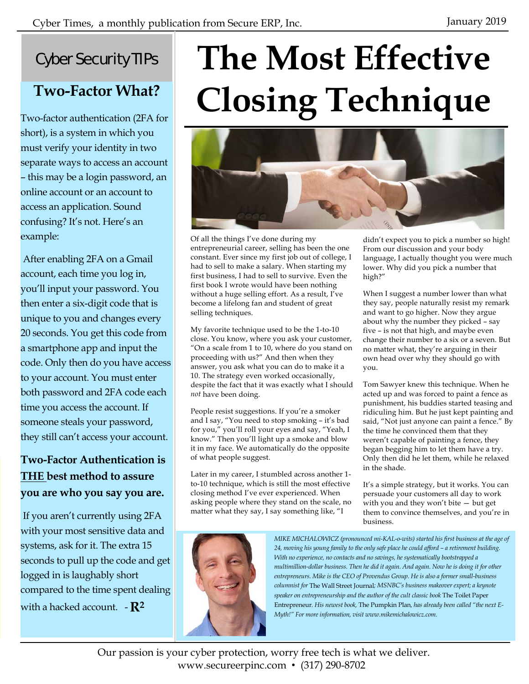### Cyber Security TIPs

## **Two-Factor What?**

Two-factor authentication (2FA for short), is a system in which you must verify your identity in two separate ways to access an account – this may be a login password, an online account or an account to access an application. Sound confusing? It's not. Here's an example:

 After enabling 2FA on a Gmail account, each time you log in, you'll input your password. You then enter a six-digit code that is unique to you and changes every 20 seconds. You get this code from a smartphone app and input the code. Only then do you have access to your account. You must enter both password and 2FA code each time you access the account. If someone steals your password, they still can't access your account.

### **Two-Factor Authentication is THE best method to assure you are who you say you are.**

 If you aren't currently using 2FA with your most sensitive data and systems, ask for it. The extra 15 seconds to pull up the code and get logged in is laughably short compared to the time spent dealing with a hacked account.  $-R^2$ 

# **The Most Effective Closing Technique**



Of all the things I've done during my entrepreneurial career, selling has been the one constant. Ever since my first job out of college, I had to sell to make a salary. When starting my first business, I had to sell to survive. Even the first book I wrote would have been nothing without a huge selling effort. As a result, I've become a lifelong fan and student of great selling techniques.

My favorite technique used to be the 1-to-10 close. You know, where you ask your customer, "On a scale from 1 to 10, where do you stand on proceeding with us?" And then when they answer, you ask what you can do to make it a 10. The strategy even worked occasionally, despite the fact that it was exactly what I should *not* have been doing.

People resist suggestions. If you're a smoker and I say, "You need to stop smoking – it's bad for you," you'll roll your eyes and say, "Yeah, I know." Then you'll light up a smoke and blow it in my face. We automatically do the opposite of what people suggest.

Later in my career, I stumbled across another 1 to-10 technique, which is still the most effective closing method I've ever experienced. When asking people where they stand on the scale, no matter what they say, I say something like, "I

didn't expect you to pick a number so high! From our discussion and your body language, I actually thought you were much lower. Why did you pick a number that high?"

When I suggest a number lower than what they say, people naturally resist my remark and want to go higher. Now they argue about why the number they picked – say five – is not that high, and maybe even change their number to a six or a seven. But no matter what, they're arguing in their own head over why they should go with you.

Tom Sawyer knew this technique. When he acted up and was forced to paint a fence as punishment, his buddies started teasing and ridiculing him. But he just kept painting and said, "Not just anyone can paint a fence." By the time he convinced them that they weren't capable of painting a fence, they began begging him to let them have a try. Only then did he let them, while he relaxed in the shade.

It's a simple strategy, but it works. You can persuade your customers all day to work with you and they won't bite — but get them to convince themselves, and you're in business.



*MIKE MICHALOWICZ (pronounced mi-KAL-o-wits) started his first business at the age of 24, moving his young family to the only safe place he could afford – a retirement building. With no experience, no contacts and no savings, he systematically bootstrapped a multimillion-dollar business. Then he did it again. And again. Now he is doing it for other entrepreneurs. Mike is the CEO of Provendus Group. He is also a former small-business columnist for* The Wall Street Journal*; MSNBC's business makeover expert; a keynote speaker on entrepreneurship and the author of the cult classic book* The Toilet Paper Entrepreneur*. His newest book,* The Pumpkin Plan*, has already been called "the next E-Myth!" For more information, visit www.mikemichalowicz.com.* 

Our passion is your cyber protection, worry free tech is what we deliver. www.secureerpinc.com • (317) 290-8702